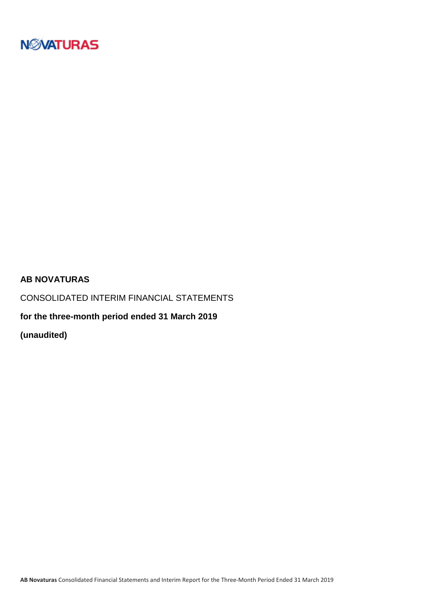

### **AB NOVATURAS**

CONSOLIDATED INTERIM FINANCIAL STATEMENTS

**for the three-month period ended 31 March 2019**

**(unaudited)**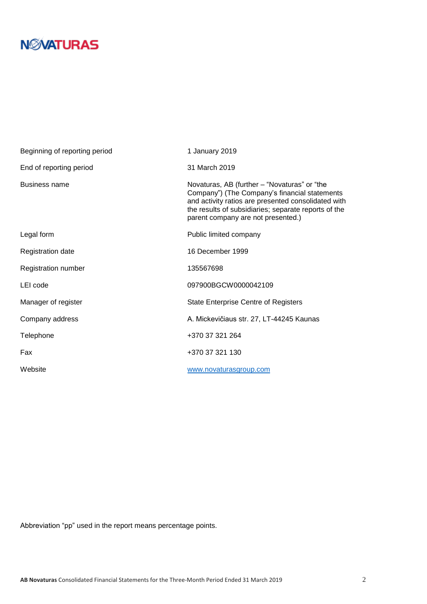| Beginning of reporting period | 1 January 2019                                                                                                                                                                                                                                     |
|-------------------------------|----------------------------------------------------------------------------------------------------------------------------------------------------------------------------------------------------------------------------------------------------|
| End of reporting period       | 31 March 2019                                                                                                                                                                                                                                      |
| Business name                 | Novaturas, AB (further – "Novaturas" or "the<br>Company") (The Company's financial statements<br>and activity ratios are presented consolidated with<br>the results of subsidiaries; separate reports of the<br>parent company are not presented.) |
| Legal form                    | Public limited company                                                                                                                                                                                                                             |
| <b>Registration date</b>      | 16 December 1999                                                                                                                                                                                                                                   |
| Registration number           | 135567698                                                                                                                                                                                                                                          |
| LEI code                      | 097900BGCW0000042109                                                                                                                                                                                                                               |
| Manager of register           | <b>State Enterprise Centre of Registers</b>                                                                                                                                                                                                        |
| Company address               | A. Mickevičiaus str. 27, LT-44245 Kaunas                                                                                                                                                                                                           |
| Telephone                     | +370 37 321 264                                                                                                                                                                                                                                    |
| Fax                           | +370 37 321 130                                                                                                                                                                                                                                    |
| Website                       | www.novaturasgroup.com                                                                                                                                                                                                                             |

Abbreviation "pp" used in the report means percentage points.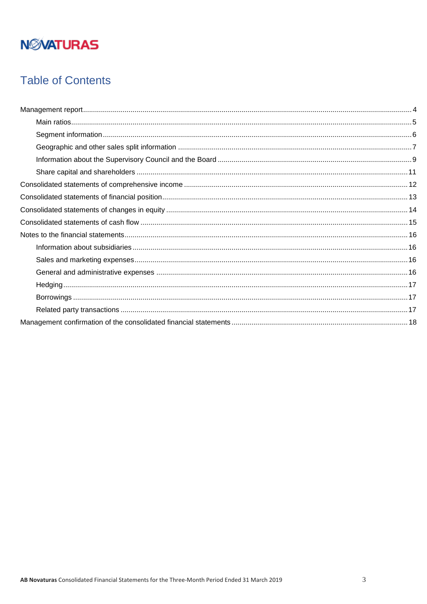## **Table of Contents**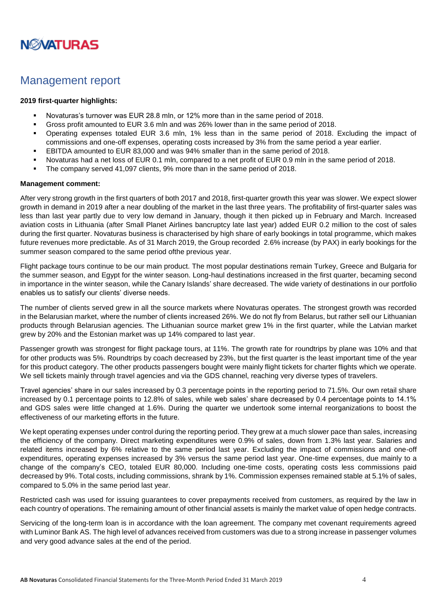

### <span id="page-3-0"></span>Management report

#### **2019 first-quarter highlights:**

- Novaturas's turnover was EUR 28.8 mln, or 12% more than in the same period of 2018.
- Gross profit amounted to EUR 3.6 mln and was 26% lower than in the same period of 2018.
- Operating expenses totaled EUR 3.6 mln, 1% less than in the same period of 2018. Excluding the impact of commissions and one-off expenses, operating costs increased by 3% from the same period a year earlier.
- EBITDA amounted to EUR 83,000 and was 94% smaller than in the same period of 2018.
- Novaturas had a net loss of EUR 0.1 mln, compared to a net profit of EUR 0.9 mln in the same period of 2018.
- The company served 41,097 clients, 9% more than in the same period of 2018.

#### **Management comment:**

After very strong growth in the first quarters of both 2017 and 2018, first-quarter growth this year was slower. We expect slower growth in demand in 2019 after a near doubling of the market in the last three years. The profitability of first-quarter sales was less than last year partly due to very low demand in January, though it then picked up in February and March. Increased aviation costs in Lithuania (after Small Planet Airlines bancruptcy late last year) added EUR 0.2 million to the cost of sales during the first quarter. Novaturas business is characterised by high share of early bookings in total programme, which makes future revenues more predictable. As of 31 March 2019, the Group recorded 2.6% increase (by PAX) in early bookings for the summer season compared to the same period ofthe previous year.

Flight package tours continue to be our main product. The most popular destinations remain Turkey, Greece and Bulgaria for the summer season, and Egypt for the winter season. Long-haul destinations increased in the first quarter, becaming second in importance in the winter season, while the Canary Islands' share decreased. The wide variety of destinations in our portfolio enables us to satisfy our clients' diverse needs.

The number of clients served grew in all the source markets where Novaturas operates. The strongest growth was recorded in the Belarusian market, where the number of clients increased 26%. We do not fly from Belarus, but rather sell our Lithuanian products through Belarusian agencies. The Lithuanian source market grew 1% in the first quarter, while the Latvian market grew by 20% and the Estonian market was up 14% compared to last year.

Passenger growth was strongest for flight package tours, at 11%. The growth rate for roundtrips by plane was 10% and that for other products was 5%. Roundtrips by coach decreased by 23%, but the first quarter is the least important time of the year for this product category. The other products passengers bought were mainly flight tickets for charter flights which we operate. We sell tickets mainly through travel agencies and via the GDS channel, reaching very diverse types of travelers.

Travel agencies' share in our sales increased by 0.3 percentage points in the reporting period to 71.5%. Our own retail share increased by 0.1 percentage points to 12.8% of sales, while web sales' share decreased by 0.4 percentage points to 14.1% and GDS sales were little changed at 1.6%. During the quarter we undertook some internal reorganizations to boost the effectiveness of our marketing efforts in the future.

We kept operating expenses under control during the reporting period. They grew at a much slower pace than sales, increasing the efficiency of the company. Direct marketing expenditures were 0.9% of sales, down from 1.3% last year. Salaries and related items increased by 6% relative to the same period last year. Excluding the impact of commissions and one-off expenditures, operating expenses increased by 3% versus the same period last year. One-time expenses, due mainly to a change of the company's CEO, totaled EUR 80,000. Including one-time costs, operating costs less commissions paid decreased by 9%. Total costs, including commissions, shrank by 1%. Commission expenses remained stable at 5.1% of sales, compared to 5.0% in the same period last year.

Restricted cash was used for issuing guarantees to cover prepayments received from customers, as required by the law in each country of operations. The remaining amount of other financial assets is mainly the market value of open hedge contracts.

Servicing of the long-term loan is in accordance with the loan agreement. The company met covenant requirements agreed with Luminor Bank AS. The high level of advances received from customers was due to a strong increase in passenger volumes and very good advance sales at the end of the period.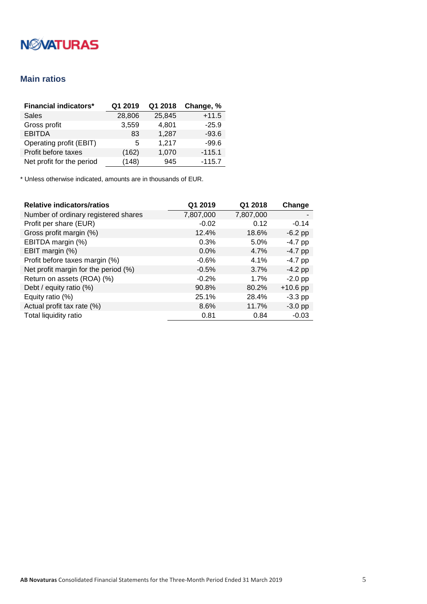### <span id="page-4-0"></span>**Main ratios**

| <b>Financial indicators*</b> | Q1 2019 | Q1 2018 | Change, % |
|------------------------------|---------|---------|-----------|
| <b>Sales</b>                 | 28,806  | 25,845  | $+11.5$   |
| Gross profit                 | 3,559   | 4,801   | $-25.9$   |
| <b>EBITDA</b>                | 83      | 1,287   | $-93.6$   |
| Operating profit (EBIT)      | 5       | 1,217   | $-99.6$   |
| Profit before taxes          | (162)   | 1,070   | $-115.1$  |
| Net profit for the period    | (148)   | 945     | $-115.7$  |

| <b>Relative indicators/ratios</b>    | Q1 2019   | Q1 2018   | Change     |
|--------------------------------------|-----------|-----------|------------|
| Number of ordinary registered shares | 7,807,000 | 7,807,000 |            |
| Profit per share (EUR)               | $-0.02$   | 0.12      | $-0.14$    |
| Gross profit margin (%)              | 12.4%     | 18.6%     | $-6.2$ pp  |
| EBITDA margin (%)                    | 0.3%      | 5.0%      | $-4.7$ pp  |
| EBIT margin (%)                      | $0.0\%$   | 4.7%      | $-4.7$ pp  |
| Profit before taxes margin (%)       | $-0.6%$   | 4.1%      | $-4.7$ pp  |
| Net profit margin for the period (%) | $-0.5%$   | 3.7%      | $-4.2$ pp  |
| Return on assets (ROA) (%)           | $-0.2%$   | 1.7%      | $-2.0$ pp  |
| Debt / equity ratio (%)              | 90.8%     | 80.2%     | $+10.6$ pp |
| Equity ratio (%)                     | 25.1%     | 28.4%     | $-3.3$ pp  |
| Actual profit tax rate (%)           | 8.6%      | 11.7%     | $-3.0$ pp  |
| Total liquidity ratio                | 0.81      | 0.84      | $-0.03$    |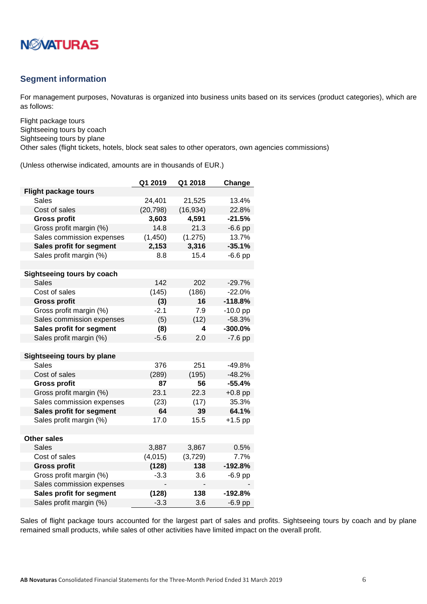

### <span id="page-5-0"></span>**Segment information**

For management purposes, Novaturas is organized into business units based on its services (product categories), which are as follows:

Flight package tours Sightseeing tours by coach Sightseeing tours by plane

Other sales (flight tickets, hotels, block seat sales to other operators, own agencies commissions)

(Unless otherwise indicated, amounts are in thousands of EUR.)

|                                   | Q1 2019   | Q1 2018   | Change     |
|-----------------------------------|-----------|-----------|------------|
| <b>Flight package tours</b>       |           |           |            |
| Sales                             | 24,401    | 21,525    | 13.4%      |
| Cost of sales                     | (20, 798) | (16, 934) | 22.8%      |
| <b>Gross profit</b>               | 3,603     | 4,591     | -21.5%     |
| Gross profit margin (%)           | 14.8      | 21.3      | $-6.6$ pp  |
| Sales commission expenses         | (1, 450)  | (1.275)   | 13.7%      |
| Sales profit for segment          | 2,153     | 3,316     | $-35.1%$   |
| Sales profit margin (%)           | 8.8       | 15.4      | $-6.6$ pp  |
|                                   |           |           |            |
| Sightseeing tours by coach        |           |           |            |
| <b>Sales</b>                      | 142       | 202       | $-29.7%$   |
| Cost of sales                     | (145)     | (186)     | $-22.0%$   |
| <b>Gross profit</b>               | (3)       | 16        | $-118.8%$  |
| Gross profit margin (%)           | $-2.1$    | 7.9       | $-10.0$ pp |
| Sales commission expenses         | (5)       | (12)      | $-58.3%$   |
| Sales profit for segment          | (8)       | 4         | $-300.0%$  |
| Sales profit margin (%)           | $-5.6$    | 2.0       | $-7.6$ pp  |
|                                   |           |           |            |
| <b>Sightseeing tours by plane</b> |           |           |            |
| <b>Sales</b>                      | 376       | 251       | $-49.8%$   |
| Cost of sales                     | (289)     | (195)     | $-48.2%$   |
| <b>Gross profit</b>               | 87        | 56        | $-55.4%$   |
| Gross profit margin (%)           | 23.1      | 22.3      | $+0.8$ pp  |
| Sales commission expenses         | (23)      | (17)      | 35.3%      |
| Sales profit for segment          | 64        | 39        | 64.1%      |
| Sales profit margin (%)           | 17.0      | 15.5      | $+1.5$ pp  |
|                                   |           |           |            |
| <b>Other sales</b>                |           |           |            |
| <b>Sales</b>                      | 3,887     | 3,867     | 0.5%       |
| Cost of sales                     | (4,015)   | (3,729)   | 7.7%       |
| <b>Gross profit</b>               | (128)     | 138       | $-192.8%$  |
| Gross profit margin (%)           | $-3.3$    | 3.6       | $-6.9$ pp  |
| Sales commission expenses         |           |           |            |
| Sales profit for segment          | (128)     | 138       | $-192.8%$  |
| Sales profit margin (%)           | $-3.3$    | 3.6       | $-6.9$ pp  |

Sales of flight package tours accounted for the largest part of sales and profits. Sightseeing tours by coach and by plane remained small products, while sales of other activities have limited impact on the overall profit.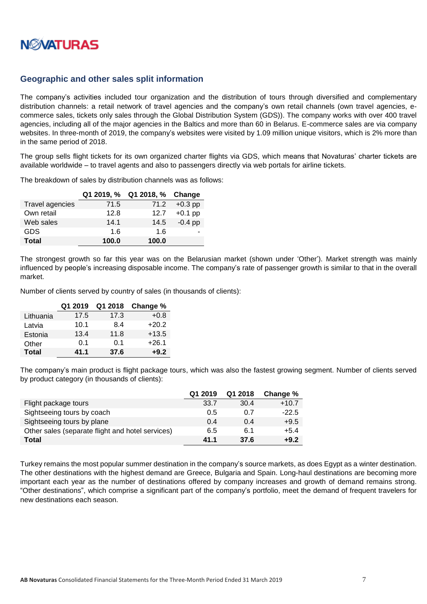

### <span id="page-6-0"></span>**Geographic and other sales split information**

The company's activities included tour organization and the distribution of tours through diversified and complementary distribution channels: a retail network of travel agencies and the company's own retail channels (own travel agencies, ecommerce sales, tickets only sales through the Global Distribution System (GDS)). The company works with over 400 travel agencies, including all of the major agencies in the Baltics and more than 60 in Belarus. E-commerce sales are via company websites. In three-month of 2019, the company's websites were visited by 1.09 million unique visitors, which is 2% more than in the same period of 2018.

The group sells flight tickets for its own organized charter flights via GDS, which means that Novaturas' charter tickets are available worldwide – to travel agents and also to passengers directly via web portals for airline tickets.

The breakdown of sales by distribution channels was as follows:

|                        | Q1 2019, % | Q1 2018, % Change |           |
|------------------------|------------|-------------------|-----------|
| <b>Travel agencies</b> | 71.5       | 71.2              | $+0.3$ pp |
| Own retail             | 12.8       | 12.7              | $+0.1$ pp |
| Web sales              | 14.1       | 14.5              | $-0.4$ pp |
| <b>GDS</b>             | 1.6        | 1.6               |           |
| <b>Total</b>           | 100.0      | 100.0             |           |

The strongest growth so far this year was on the Belarusian market (shown under 'Other'). Market strength was mainly influenced by people's increasing disposable income. The company's rate of passenger growth is similar to that in the overall market.

Number of clients served by country of sales (in thousands of clients):

|              | Q1 2019 | Q1 2018 | Change % |
|--------------|---------|---------|----------|
| Lithuania    | 17.5    | 17.3    | $+0.8$   |
| Latvia       | 10.1    | 8.4     | $+20.2$  |
| Estonia      | 13.4    | 11.8    | $+13.5$  |
| Other        | 0.1     | 0.1     | $+26.1$  |
| <b>Total</b> | 41.1    | 37.6    | $+9.2$   |

The company's main product is flight package tours, which was also the fastest growing segment. Number of clients served by product category (in thousands of clients):

|                                                  | Q1 2019 | Q1 2018 | Change % |
|--------------------------------------------------|---------|---------|----------|
| Flight package tours                             | 33.7    | 30.4    | $+10.7$  |
| Sightseeing tours by coach                       | 0.5     | 0.7     | $-22.5$  |
| Sightseeing tours by plane                       | 0.4     | 0.4     | $+9.5$   |
| Other sales (separate flight and hotel services) | 6.5     | 6.1     | $+5.4$   |
| <b>Total</b>                                     | 41.1    | 37.6    | $+9.2$   |

Turkey remains the most popular summer destination in the company's source markets, as does Egypt as a winter destination. The other destinations with the highest demand are Greece, Bulgaria and Spain. Long-haul destinations are becoming more important each year as the number of destinations offered by company increases and growth of demand remains strong. "Other destinations", which comprise a significant part of the company's portfolio, meet the demand of frequent travelers for new destinations each season.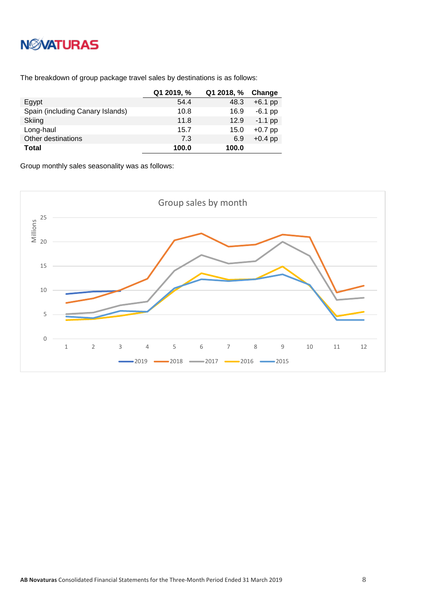

The breakdown of group package travel sales by destinations is as follows:

|                                  | Q1 2019, % | Q1 2018, % | Change    |
|----------------------------------|------------|------------|-----------|
| Egypt                            | 54.4       | 48.3       | $+6.1$ pp |
| Spain (including Canary Islands) | 10.8       | 16.9       | $-6.1$ pp |
| Skiing                           | 11.8       | 12.9       | $-1.1$ pp |
| Long-haul                        | 15.7       | 15.0       | $+0.7$ pp |
| Other destinations               | 7.3        | 6.9        | $+0.4$ pp |
| <b>Total</b>                     | 100.0      | 100.0      |           |

Group monthly sales seasonality was as follows:

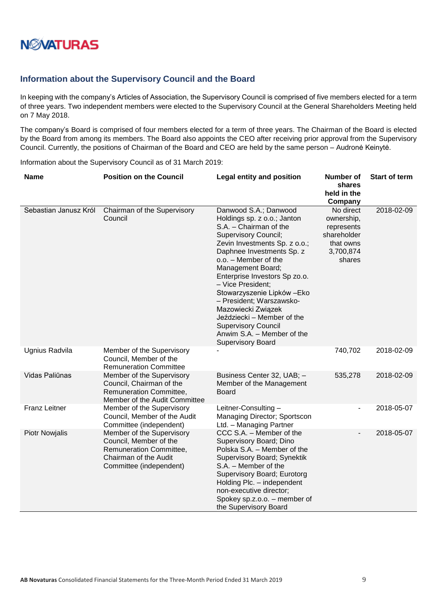

### <span id="page-8-0"></span>**Information about the Supervisory Council and the Board**

In keeping with the company's Articles of Association, the Supervisory Council is comprised of five members elected for a term of three years. Two independent members were elected to the Supervisory Council at the General Shareholders Meeting held on 7 May 2018.

The company's Board is comprised of four members elected for a term of three years. The Chairman of the Board is elected by the Board from among its members. The Board also appoints the CEO after receiving prior approval from the Supervisory Council. Currently, the positions of Chairman of the Board and CEO are held by the same person – Audronė Keinytė.

Information about the Supervisory Council as of 31 March 2019:

| <b>Name</b>           | <b>Position on the Council</b>                                                                                                     | <b>Legal entity and position</b>                                                                                                                                                                                                                                                                                                                                                                                                                                                      | <b>Number of</b><br>shares<br>held in the<br>Company                                     | <b>Start of term</b> |
|-----------------------|------------------------------------------------------------------------------------------------------------------------------------|---------------------------------------------------------------------------------------------------------------------------------------------------------------------------------------------------------------------------------------------------------------------------------------------------------------------------------------------------------------------------------------------------------------------------------------------------------------------------------------|------------------------------------------------------------------------------------------|----------------------|
| Sebastian Janusz Król | Chairman of the Supervisory<br>Council                                                                                             | Danwood S.A.; Danwood<br>Holdings sp. z o.o.; Janton<br>S.A. - Chairman of the<br><b>Supervisory Council;</b><br>Zevin Investments Sp. z o.o.;<br>Daphnee Investments Sp. z<br>o.o. - Member of the<br>Management Board;<br>Enterprise Investors Sp zo.o.<br>- Vice President;<br>Stowarzyszenie Lipków - Eko<br>- President; Warszawsko-<br>Mazowiecki Związek<br>Jeździecki - Member of the<br><b>Supervisory Council</b><br>Anwim S.A. - Member of the<br><b>Supervisory Board</b> | No direct<br>ownership,<br>represents<br>shareholder<br>that owns<br>3,700,874<br>shares | 2018-02-09           |
| Ugnius Radvila        | Member of the Supervisory<br>Council, Member of the<br><b>Remuneration Committee</b>                                               |                                                                                                                                                                                                                                                                                                                                                                                                                                                                                       | 740,702                                                                                  | 2018-02-09           |
| Vidas Paliūnas        | Member of the Supervisory<br>Council, Chairman of the<br>Remuneration Committee,<br>Member of the Audit Committee                  | Business Center 32, UAB; -<br>Member of the Management<br><b>Board</b>                                                                                                                                                                                                                                                                                                                                                                                                                | 535,278                                                                                  | 2018-02-09           |
| <b>Franz Leitner</b>  | Member of the Supervisory<br>Council, Member of the Audit<br>Committee (independent)                                               | Leitner-Consulting-<br>Managing Director; Sportscon<br>Ltd. - Managing Partner                                                                                                                                                                                                                                                                                                                                                                                                        |                                                                                          | 2018-05-07           |
| <b>Piotr Nowjalis</b> | Member of the Supervisory<br>Council, Member of the<br>Remuneration Committee,<br>Chairman of the Audit<br>Committee (independent) | CCC S.A. - Member of the<br>Supervisory Board; Dino<br>Polska S.A. - Member of the<br>Supervisory Board; Synektik<br>S.A. - Member of the<br>Supervisory Board; Eurotorg<br>Holding Plc. - independent<br>non-executive director;<br>Spokey sp.z.o.o. - member of<br>the Supervisory Board                                                                                                                                                                                            | $\overline{\phantom{0}}$                                                                 | 2018-05-07           |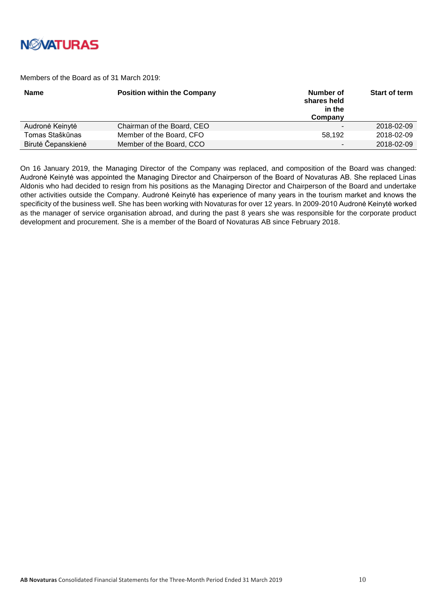

Members of the Board as of 31 March 2019:

| <b>Name</b>        | <b>Position within the Company</b> | Number of<br>shares held<br>in the<br>Company | Start of term |
|--------------------|------------------------------------|-----------------------------------------------|---------------|
| Audronė Keinytė    | Chairman of the Board, CEO         |                                               | 2018-02-09    |
| Tomas Staškūnas    | Member of the Board, CFO           | 58.192                                        | 2018-02-09    |
| Birutė Čepanskienė | Member of the Board, CCO           | $\sim$                                        | 2018-02-09    |

On 16 January 2019, the Managing Director of the Company was replaced, and composition of the Board was changed: Audronė Keinytė was appointed the Managing Director and Chairperson of the Board of Novaturas AB. She replaced Linas Aldonis who had decided to resign from his positions as the Managing Director and Chairperson of the Board and undertake other activities outside the Company. Audronė Keinytė has experience of many years in the tourism market and knows the specificity of the business well. She has been working with Novaturas for over 12 years. In 2009-2010 Audronė Keinytė worked as the manager of service organisation abroad, and during the past 8 years she was responsible for the corporate product development and procurement. She is a member of the Board of Novaturas AB since February 2018.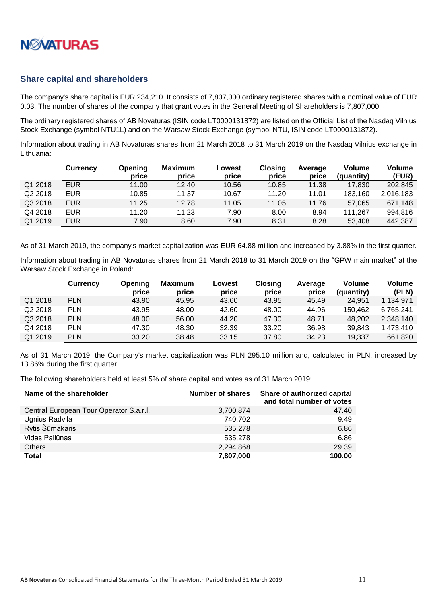

### <span id="page-10-0"></span>**Share capital and shareholders**

The company's share capital is EUR 234,210. It consists of 7,807,000 ordinary registered shares with a nominal value of EUR 0.03. The number of shares of the company that grant votes in the General Meeting of Shareholders is 7,807,000.

The ordinary registered shares of AB Novaturas (ISIN code LT0000131872) are listed on the Official List of the Nasdaq Vilnius Stock Exchange (symbol NTU1L) and on the Warsaw Stock Exchange (symbol NTU, ISIN code LT0000131872).

Information about trading in AB Novaturas shares from 21 March 2018 to 31 March 2019 on the Nasdaq Vilnius exchange in Lithuania:

|                     | <b>Currency</b> | Opening<br>price | <b>Maximum</b><br>price | Lowest<br>price | <b>Closing</b><br>price | Average<br>price | Volume<br>(quantity) | Volume<br>(EUR) |
|---------------------|-----------------|------------------|-------------------------|-----------------|-------------------------|------------------|----------------------|-----------------|
| Q1 2018             | <b>EUR</b>      | 11.00            | 12.40                   | 10.56           | 10.85                   | 11.38            | 17.830               | 202,845         |
| Q <sub>2</sub> 2018 | <b>EUR</b>      | 10.85            | 11.37                   | 10.67           | 11.20                   | 11.01            | 183.160              | 2,016,183       |
| Q3 2018             | <b>EUR</b>      | 11.25            | 12.78                   | 11.05           | 11.05                   | 11.76            | 57.065               | 671,148         |
| Q4 2018             | <b>EUR</b>      | 11.20            | 11.23                   | 7.90            | 8.00                    | 8.94             | 111.267              | 994,816         |
| Q1 2019             | <b>EUR</b>      | 7.90             | 8.60                    | 7.90            | 8.31                    | 8.28             | 53.408               | 442,387         |

As of 31 March 2019, the company's market capitalization was EUR 64.88 million and increased by 3.88% in the first quarter.

Information about trading in AB Novaturas shares from 21 March 2018 to 31 March 2019 on the "GPW main market" at the Warsaw Stock Exchange in Poland:

|         | Currency   | Opening<br>price | <b>Maximum</b><br>price | Lowest<br>price | Closing<br>price | Average<br>price | Volume<br>(quantity) | Volume<br>(PLN) |
|---------|------------|------------------|-------------------------|-----------------|------------------|------------------|----------------------|-----------------|
| Q1 2018 | <b>PLN</b> | 43.90            | 45.95                   | 43.60           | 43.95            | 45.49            | 24.951               | 1.134.971       |
| Q2 2018 | <b>PLN</b> | 43.95            | 48.00                   | 42.60           | 48.00            | 44.96            | 150,462              | 6.765.241       |
| Q3 2018 | <b>PLN</b> | 48.00            | 56.00                   | 44.20           | 47.30            | 48.71            | 48.202               | 2.348.140       |
| Q4 2018 | <b>PLN</b> | 47.30            | 48.30                   | 32.39           | 33.20            | 36.98            | 39.843               | 1.473.410       |
| Q1 2019 | <b>PLN</b> | 33.20            | 38.48                   | 33.15           | 37.80            | 34.23            | 19.337               | 661.820         |

As of 31 March 2019, the Company's market capitalization was PLN 295.10 million and, calculated in PLN, increased by 13.86% during the first quarter.

The following shareholders held at least 5% of share capital and votes as of 31 March 2019:

| Name of the shareholder                 | Number of shares | Share of authorized capital<br>and total number of votes |
|-----------------------------------------|------------------|----------------------------------------------------------|
| Central European Tour Operator S.a.r.l. | 3,700,874        | 47.40                                                    |
| Ugnius Radvila                          | 740,702          | 9.49                                                     |
| Rytis Šūmakaris                         | 535,278          | 6.86                                                     |
| Vidas Paliūnas                          | 535,278          | 6.86                                                     |
| <b>Others</b>                           | 2,294,868        | 29.39                                                    |
| <b>Total</b>                            | 7,807,000        | 100.00                                                   |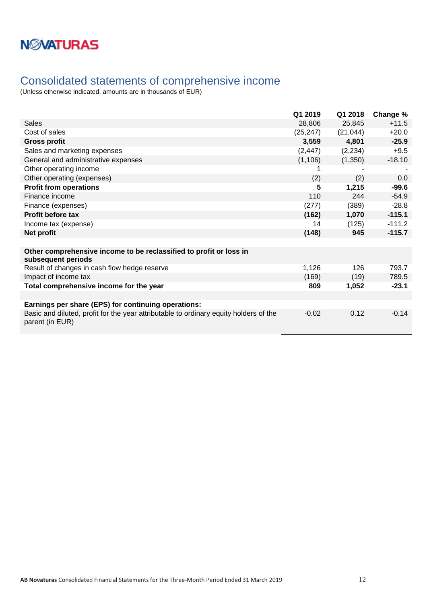## <span id="page-11-0"></span>Consolidated statements of comprehensive income

|                                                                                                          | Q1 2019   | Q1 2018   | Change % |
|----------------------------------------------------------------------------------------------------------|-----------|-----------|----------|
| Sales                                                                                                    | 28,806    | 25,845    | $+11.5$  |
| Cost of sales                                                                                            | (25, 247) | (21, 044) | $+20.0$  |
| <b>Gross profit</b>                                                                                      | 3,559     | 4,801     | $-25.9$  |
| Sales and marketing expenses                                                                             | (2, 447)  | (2, 234)  | $+9.5$   |
| General and administrative expenses                                                                      | (1, 106)  | (1,350)   | $-18.10$ |
| Other operating income                                                                                   |           |           |          |
| Other operating (expenses)                                                                               | (2)       | (2)       | 0.0      |
| <b>Profit from operations</b>                                                                            | 5         | 1,215     | $-99.6$  |
| Finance income                                                                                           | 110       | 244       | $-54.9$  |
| Finance (expenses)                                                                                       | (277)     | (389)     | $-28.8$  |
| <b>Profit before tax</b>                                                                                 | (162)     | 1,070     | $-115.1$ |
| Income tax (expense)                                                                                     | 14        | (125)     | $-111.2$ |
| Net profit                                                                                               | (148)     | 945       | $-115.7$ |
|                                                                                                          |           |           |          |
| Other comprehensive income to be reclassified to profit or loss in<br>subsequent periods                 |           |           |          |
| Result of changes in cash flow hedge reserve                                                             | 1,126     | 126       | 793.7    |
| Impact of income tax                                                                                     | (169)     | (19)      | 789.5    |
| Total comprehensive income for the year                                                                  | 809       | 1,052     | $-23.1$  |
|                                                                                                          |           |           |          |
| Earnings per share (EPS) for continuing operations:                                                      |           |           |          |
| Basic and diluted, profit for the year attributable to ordinary equity holders of the<br>parent (in EUR) | $-0.02$   | 0.12      | $-0.14$  |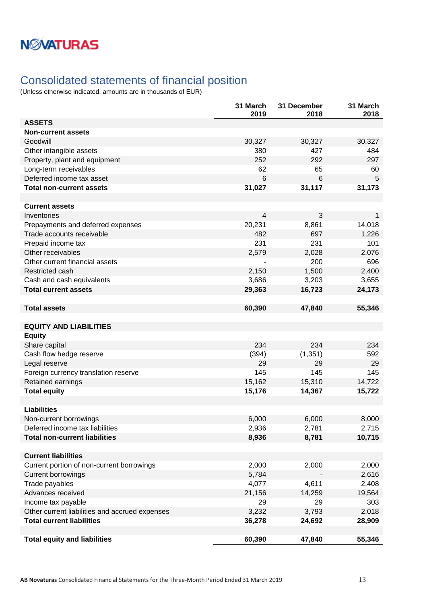## <span id="page-12-0"></span>Consolidated statements of financial position

|                                                | 31 March<br>2019 | 31 December<br>2018 | 31 March<br>2018 |
|------------------------------------------------|------------------|---------------------|------------------|
| <b>ASSETS</b>                                  |                  |                     |                  |
| <b>Non-current assets</b>                      |                  |                     |                  |
| Goodwill                                       | 30,327           | 30,327              | 30,327           |
| Other intangible assets                        | 380              | 427                 | 484              |
| Property, plant and equipment                  | 252              | 292                 | 297              |
| Long-term receivables                          | 62               | 65                  | 60               |
| Deferred income tax asset                      | 6                | 6                   | 5                |
| <b>Total non-current assets</b>                | 31,027           | 31,117              | 31,173           |
|                                                |                  |                     |                  |
| <b>Current assets</b>                          |                  |                     |                  |
| Inventories                                    | 4                | 3                   | $\mathbf{1}$     |
| Prepayments and deferred expenses              | 20,231           | 8,861               | 14,018           |
| Trade accounts receivable                      | 482              | 697                 | 1,226            |
| Prepaid income tax                             | 231              | 231                 | 101              |
| Other receivables                              | 2,579            | 2,028               | 2,076            |
| Other current financial assets                 |                  | 200                 | 696              |
| Restricted cash                                | 2,150            | 1,500               | 2,400            |
| Cash and cash equivalents                      | 3,686            | 3,203               | 3,655            |
| <b>Total current assets</b>                    | 29,363           | 16,723              | 24,173           |
| <b>Total assets</b>                            | 60,390           | 47,840              | 55,346           |
|                                                |                  |                     |                  |
| <b>EQUITY AND LIABILITIES</b>                  |                  |                     |                  |
| <b>Equity</b>                                  |                  |                     |                  |
| Share capital                                  | 234              | 234                 | 234              |
| Cash flow hedge reserve                        | (394)            | (1, 351)            | 592              |
| Legal reserve                                  | 29               | 29                  | 29               |
| Foreign currency translation reserve           | 145              | 145                 | 145              |
| Retained earnings                              | 15,162           | 15,310              | 14,722           |
| <b>Total equity</b>                            | 15,176           | 14,367              | 15,722           |
|                                                |                  |                     |                  |
| <b>Liabilities</b>                             |                  |                     |                  |
| Non-current borrowings                         | 6,000            | 6,000               | 8,000            |
| Deferred income tax liabilities                | 2,936            | 2,781               | 2,715            |
| <b>Total non-current liabilities</b>           | 8,936            | 8,781               | 10,715           |
|                                                |                  |                     |                  |
| <b>Current liabilities</b>                     |                  |                     |                  |
| Current portion of non-current borrowings      | 2,000            | 2,000               | 2,000            |
| <b>Current borrowings</b>                      | 5,784            |                     | 2,616            |
| Trade payables                                 | 4,077            | 4,611               | 2,408            |
| Advances received                              | 21,156           | 14,259              | 19,564           |
| Income tax payable                             | 29               | 29                  | 303              |
| Other current liabilities and accrued expenses | 3,232            | 3,793               | 2,018            |
| <b>Total current liabilities</b>               | 36,278           | 24,692              | 28,909           |
| <b>Total equity and liabilities</b>            | 60,390           | 47,840              | 55,346           |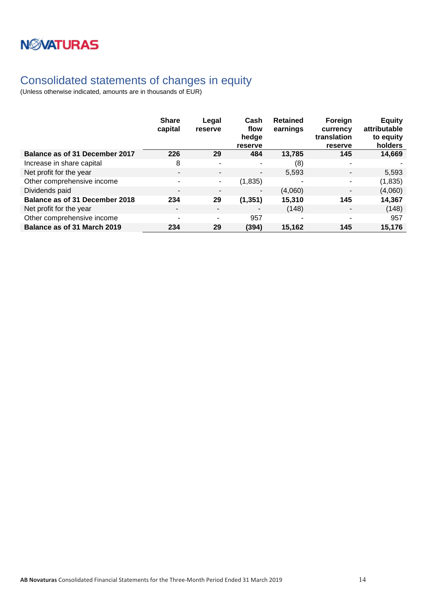## <span id="page-13-0"></span>Consolidated statements of changes in equity

|                                | <b>Share</b><br>capital  | Legal<br>reserve         | Cash<br>flow<br>hedge<br>reserve | <b>Retained</b><br>earnings | Foreign<br>currency<br>translation<br>reserve | <b>Equity</b><br>attributable<br>to equity<br>holders |
|--------------------------------|--------------------------|--------------------------|----------------------------------|-----------------------------|-----------------------------------------------|-------------------------------------------------------|
| Balance as of 31 December 2017 | 226                      | 29                       | 484                              | 13,785                      | 145                                           | 14,669                                                |
| Increase in share capital      | 8                        | $\overline{\phantom{a}}$ | ٠                                | (8)                         | ٠                                             |                                                       |
| Net profit for the year        | $\overline{\phantom{a}}$ | $\overline{\phantom{a}}$ | $\overline{\phantom{a}}$         | 5,593                       | ٠                                             | 5,593                                                 |
| Other comprehensive income     | $\overline{\phantom{a}}$ | $\sim$                   | (1,835)                          |                             |                                               | (1,835)                                               |
| Dividends paid                 | $\overline{\phantom{a}}$ | $\overline{\phantom{0}}$ | $\overline{\phantom{a}}$         | (4,060)                     | $\blacksquare$                                | (4,060)                                               |
| Balance as of 31 December 2018 | 234                      | 29                       | (1, 351)                         | 15,310                      | 145                                           | 14,367                                                |
| Net profit for the year        | $\overline{\phantom{a}}$ | $\overline{\phantom{a}}$ | ۰                                | (148)                       |                                               | (148)                                                 |
| Other comprehensive income     | $\overline{\phantom{a}}$ | ۰                        | 957                              |                             | ٠                                             | 957                                                   |
| Balance as of 31 March 2019    | 234                      | 29                       | (394)                            | 15,162                      | 145                                           | 15,176                                                |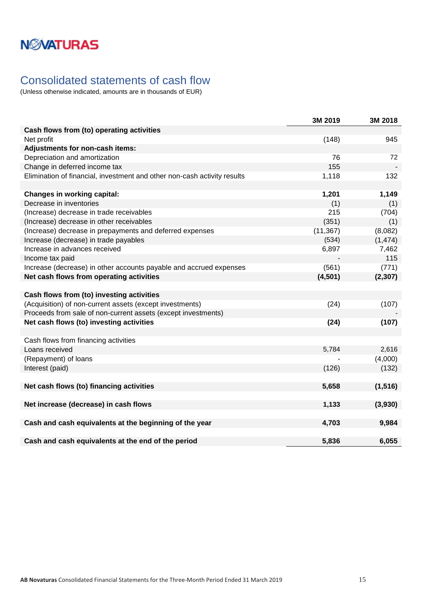## <span id="page-14-0"></span>Consolidated statements of cash flow

|                                                                          | 3M 2019   | 3M 2018  |
|--------------------------------------------------------------------------|-----------|----------|
| Cash flows from (to) operating activities                                |           |          |
| Net profit                                                               | (148)     | 945      |
| Adjustments for non-cash items:                                          |           |          |
| Depreciation and amortization                                            | 76        | 72       |
| Change in deferred income tax                                            | 155       |          |
| Elimination of financial, investment and other non-cash activity results | 1,118     | 132      |
|                                                                          |           |          |
| <b>Changes in working capital:</b>                                       | 1,201     | 1,149    |
| Decrease in inventories                                                  | (1)       | (1)      |
| (Increase) decrease in trade receivables                                 | 215       | (704)    |
| (Increase) decrease in other receivables                                 | (351)     | (1)      |
| (Increase) decrease in prepayments and deferred expenses                 | (11, 367) | (8,082)  |
| Increase (decrease) in trade payables                                    | (534)     | (1, 474) |
| Increase in advances received                                            | 6,897     | 7,462    |
| Income tax paid                                                          |           | 115      |
| Increase (decrease) in other accounts payable and accrued expenses       | (561)     | (771)    |
| Net cash flows from operating activities                                 | (4,501)   | (2, 307) |
|                                                                          |           |          |
| Cash flows from (to) investing activities                                |           |          |
| (Acquisition) of non-current assets (except investments)                 | (24)      | (107)    |
| Proceeds from sale of non-current assets (except investments)            |           |          |
| Net cash flows (to) investing activities                                 | (24)      | (107)    |
|                                                                          |           |          |
| Cash flows from financing activities                                     |           |          |
| Loans received                                                           | 5,784     | 2,616    |
| (Repayment) of loans                                                     |           | (4,000)  |
| Interest (paid)                                                          | (126)     | (132)    |
|                                                                          |           |          |
| Net cash flows (to) financing activities                                 | 5,658     | (1, 516) |
|                                                                          |           |          |
| Net increase (decrease) in cash flows                                    | 1,133     | (3,930)  |
|                                                                          |           |          |
| Cash and cash equivalents at the beginning of the year                   | 4,703     | 9,984    |
|                                                                          |           |          |
| Cash and cash equivalents at the end of the period                       | 5,836     | 6,055    |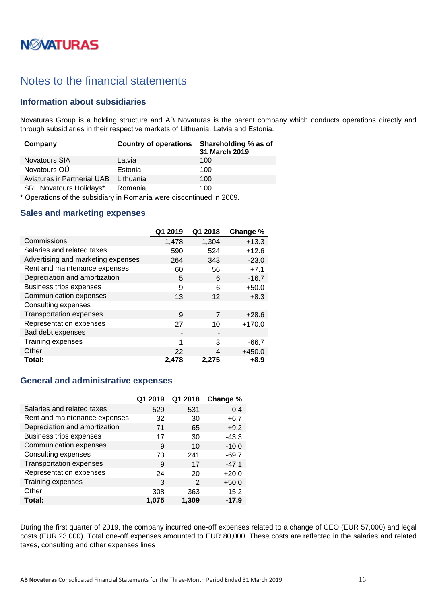# **NWATURAS**

## <span id="page-15-0"></span>Notes to the financial statements

### <span id="page-15-1"></span>**Information about subsidiaries**

Novaturas Group is a holding structure and AB Novaturas is the parent company which conducts operations directly and through subsidiaries in their respective markets of Lithuania, Latvia and Estonia.

| Company                        | <b>Country of operations</b> | Shareholding % as of<br>31 March 2019 |
|--------------------------------|------------------------------|---------------------------------------|
| <b>Novatours SIA</b>           | Latvia                       | 100                                   |
| Novatours OÜ                   | Estonia                      | 100                                   |
| Aviaturas ir Partneriai UAB    | Lithuania                    | 100                                   |
| <b>SRL Novatours Holidays*</b> | Romania                      | 100                                   |

\* Operations of the subsidiary in Romania were discontinued in 2009.

### <span id="page-15-2"></span>**Sales and marketing expenses**

|                                    | Q1 2019 | Q1 2018 | Change % |
|------------------------------------|---------|---------|----------|
| Commissions                        | 1,478   | 1,304   | $+13.3$  |
| Salaries and related taxes         | 590     | 524     | $+12.6$  |
| Advertising and marketing expenses | 264     | 343     | $-23.0$  |
| Rent and maintenance expenses      | 60      | 56      | $+7.1$   |
| Depreciation and amortization      | 5       | 6       | $-16.7$  |
| Business trips expenses            | 9       | 6       | $+50.0$  |
| Communication expenses             | 13      | 12      | $+8.3$   |
| Consulting expenses                | ۰       |         |          |
| <b>Transportation expenses</b>     | 9       | 7       | $+28.6$  |
| Representation expenses            | 27      | 10      | $+170.0$ |
| Bad debt expenses                  |         |         |          |
| Training expenses                  | 1       | 3       | $-66.7$  |
| Other                              | 22      | 4       | $+450.0$ |
| Total:                             | 2,478   | 2,275   | $+8.9$   |

### <span id="page-15-3"></span>**General and administrative expenses**

|                               | Q1 2019 | Q1 2018 | Change % |
|-------------------------------|---------|---------|----------|
| Salaries and related taxes    | 529     | 531     | $-0.4$   |
| Rent and maintenance expenses | 32      | 30      | $+6.7$   |
| Depreciation and amortization | 71      | 65      | $+9.2$   |
| Business trips expenses       | 17      | 30      | $-43.3$  |
| Communication expenses        | 9       | 10      | $-10.0$  |
| Consulting expenses           | 73      | 241     | $-69.7$  |
| Transportation expenses       | 9       | 17      | $-47.1$  |
| Representation expenses       | 24      | 20      | $+20.0$  |
| Training expenses             | 3       | 2       | $+50.0$  |
| Other                         | 308     | 363     | $-15.2$  |
| Total:                        | 1.075   | 1,309   | $-17.9$  |

During the first quarter of 2019, the company incurred one-off expenses related to a change of CEO (EUR 57,000) and legal costs (EUR 23,000). Total one-off expenses amounted to EUR 80,000. These costs are reflected in the salaries and related taxes, consulting and other expenses lines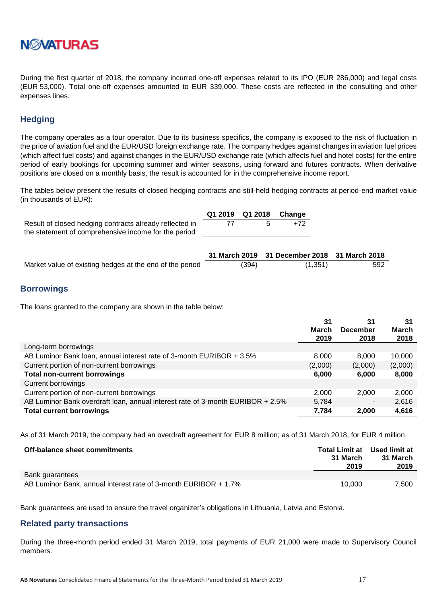

During the first quarter of 2018, the company incurred one-off expenses related to its IPO (EUR 286,000) and legal costs (EUR 53,000). Total one-off expenses amounted to EUR 339,000. These costs are reflected in the consulting and other expenses lines.

### <span id="page-16-0"></span>**Hedging**

The company operates as a tour operator. Due to its business specifics, the company is exposed to the risk of fluctuation in the price of aviation fuel and the EUR/USD foreign exchange rate. The company hedges against changes in aviation fuel prices (which affect fuel costs) and against changes in the EUR/USD exchange rate (which affects fuel and hotel costs) for the entire period of early bookings for upcoming summer and winter seasons, using forward and futures contracts. When derivative positions are closed on a monthly basis, the result is accounted for in the comprehensive income report.

The tables below present the results of closed hedging contracts and still-held hedging contracts at period-end market value (in thousands of EUR):

|                                                         | Q1 2019 Q1 2018 Change |     |
|---------------------------------------------------------|------------------------|-----|
| Result of closed hedging contracts already reflected in |                        | +72 |
| the statement of comprehensive income for the period    |                        |     |

|                                                          |       | 31 March 2019 31 December 2018 31 March 2018 |     |
|----------------------------------------------------------|-------|----------------------------------------------|-----|
| Market value of existing hedges at the end of the period | (394) | (1, 351)                                     | 592 |

### <span id="page-16-1"></span>**Borrowings**

The loans granted to the company are shown in the table below:

|                                                                                | 31      | 31                       | 31      |
|--------------------------------------------------------------------------------|---------|--------------------------|---------|
|                                                                                | March   | <b>December</b>          | March   |
|                                                                                | 2019    | 2018                     | 2018    |
| Long-term borrowings                                                           |         |                          |         |
| AB Luminor Bank loan, annual interest rate of 3-month EURIBOR + 3.5%           | 8,000   | 8.000                    | 10,000  |
| Current portion of non-current borrowings                                      | (2,000) | (2,000)                  | (2,000) |
| <b>Total non-current borrowings</b>                                            | 6,000   | 6,000                    | 8,000   |
| Current borrowings                                                             |         |                          |         |
| Current portion of non-current borrowings                                      | 2,000   | 2,000                    | 2,000   |
| AB Luminor Bank overdraft loan, annual interest rate of 3-month EURIBOR + 2.5% | 5,784   | $\overline{\phantom{a}}$ | 2,616   |
| <b>Total current borrowings</b>                                                | 7,784   | 2,000                    | 4,616   |

As of 31 March 2019, the company had an overdraft agreement for EUR 8 million; as of 31 March 2018, for EUR 4 million.

| Off-balance sheet commitments                                   | Total Limit at Used limit at<br>31 March<br>2019 | 31 March<br>2019 |
|-----------------------------------------------------------------|--------------------------------------------------|------------------|
| Bank guarantees                                                 |                                                  |                  |
| AB Luminor Bank, annual interest rate of 3-month EURIBOR + 1.7% | 10.000                                           | 7.500            |

Bank guarantees are used to ensure the travel organizer's obligations in Lithuania, Latvia and Estonia.

### <span id="page-16-2"></span>**Related party transactions**

During the three-month period ended 31 March 2019, total payments of EUR 21,000 were made to Supervisory Council members.